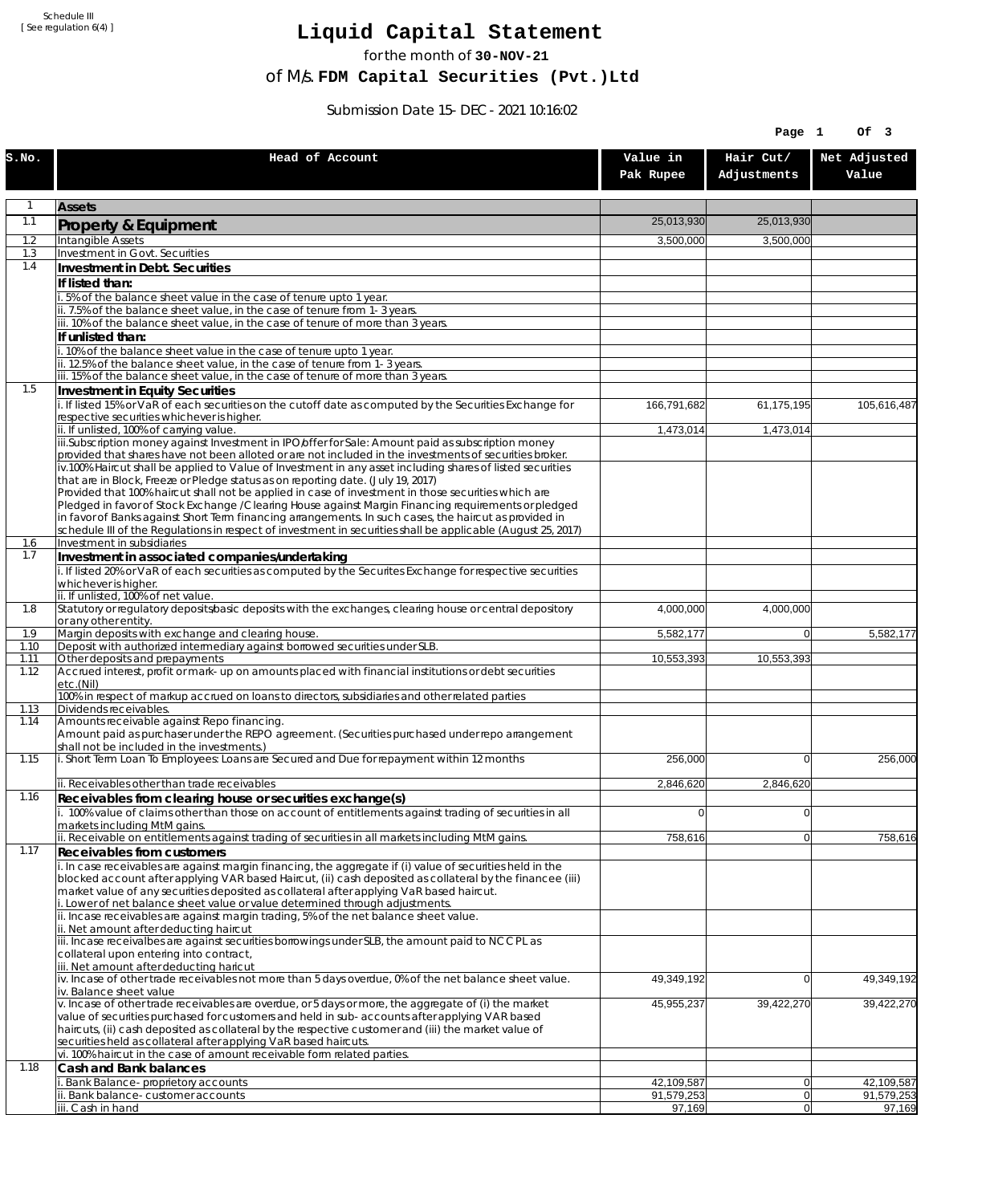Schedule III [ See regulation 6(4) ]

## **Liquid Capital Statement**

for the month of **30-NOV-21**

of M/s. **FDM Capital Securities (Pvt.)Ltd**

Submission Date 15-DEC-2021 10:16:02

|              |                                                                                                                                                                                                                        |                          | Page 1                   | Of 3                     |
|--------------|------------------------------------------------------------------------------------------------------------------------------------------------------------------------------------------------------------------------|--------------------------|--------------------------|--------------------------|
| S.NO.        | Head of Account                                                                                                                                                                                                        | Value in<br>Pak Rupee    | Hair Cut/<br>Adjustments | Net Adjusted<br>Value    |
| 1            | <b>Assets</b>                                                                                                                                                                                                          |                          |                          |                          |
| 1.1          | Property & Equipment                                                                                                                                                                                                   | 25,013,930               | 25,013,930               |                          |
| 1.2          | Intangible Assets                                                                                                                                                                                                      | 3,500,000                | 3,500,000                |                          |
| 1.3<br>1.4   | Investment in Govt. Securities<br>Investment in Debt. Securities                                                                                                                                                       |                          |                          |                          |
|              | If listed than:                                                                                                                                                                                                        |                          |                          |                          |
|              | i. 5% of the balance sheet value in the case of tenure upto 1 year.                                                                                                                                                    |                          |                          |                          |
|              | ii. 7.5% of the balance sheet value, in the case of tenure from 1-3 years.                                                                                                                                             |                          |                          |                          |
|              | iii. 10% of the balance sheet value, in the case of tenure of more than 3 years.<br>If unlisted than:                                                                                                                  |                          |                          |                          |
|              | i. 10% of the balance sheet value in the case of tenure upto 1 year.                                                                                                                                                   |                          |                          |                          |
|              | ii. 12.5% of the balance sheet value, in the case of tenure from 1-3 years.                                                                                                                                            |                          |                          |                          |
| 1.5          | iii. 15% of the balance sheet value, in the case of tenure of more than 3 years.<br>Investment in Equity Securities                                                                                                    |                          |                          |                          |
|              | i. If listed 15% or VaR of each securities on the cutoff date as computed by the Securities Exchange for                                                                                                               | 166,791,682              | 61,175,195               | 105,616,487              |
|              | respective securities whichever is higher.                                                                                                                                                                             |                          |                          |                          |
|              | ii. If unlisted, 100% of carrying value.<br>iii.Subscription money against Investment in IPO/offer for Sale: Amount paid as subscription money                                                                         | 1,473,014                | 1,473,014                |                          |
|              | provided that shares have not been alloted or are not included in the investments of securities broker.                                                                                                                |                          |                          |                          |
|              | iv.100% Haircut shall be applied to Value of Investment in any asset including shares of listed securities<br>that are in Block, Freeze or Pledge status as on reporting date. (July 19, 2017)                         |                          |                          |                          |
|              | Provided that 100% haircut shall not be applied in case of investment in those securities which are                                                                                                                    |                          |                          |                          |
|              | Pledged in favor of Stock Exchange / Clearing House against Margin Financing requirements or pledged<br>in favor of Banks against Short Term financing arrangements. In such cases, the haircut as provided in         |                          |                          |                          |
|              | schedule III of the Regulations in respect of investment in securities shall be applicable (August 25, 2017)                                                                                                           |                          |                          |                          |
| 1.6          | Investment in subsidiaries                                                                                                                                                                                             |                          |                          |                          |
| 1.7          | Investment in associated companies/undertaking<br>i. If listed 20% or VaR of each securities as computed by the Securites Exchange for respective securities                                                           |                          |                          |                          |
|              | whichever is higher.                                                                                                                                                                                                   |                          |                          |                          |
| 1.8          | ii. If unlisted, 100% of net value.                                                                                                                                                                                    |                          |                          |                          |
|              | Statutory or regulatory deposits/basic deposits with the exchanges, clearing house or central depository<br>or any other entity.                                                                                       | 4,000,000                | 4,000,000                |                          |
| 1.9          | Margin deposits with exchange and clearing house.                                                                                                                                                                      | 5,582,177                | $\overline{0}$           | 5,582,177                |
| 1.10<br>1.11 | Deposit with authorized intermediary against borrowed securities under SLB.<br>Other deposits and prepayments                                                                                                          | 10,553,393               | 10,553,393               |                          |
| 1.12         | Accrued interest, profit or mark-up on amounts placed with financial institutions or debt securities<br>etc.(Nil)                                                                                                      |                          |                          |                          |
| 1.13         | 100% in respect of markup accrued on loans to directors, subsidiaries and other related parties<br>Dividends receivables.                                                                                              |                          |                          |                          |
| 1.14         | Amounts receivable against Repo financing.                                                                                                                                                                             |                          |                          |                          |
|              | Amount paid as purchaser under the REPO agreement. (Securities purchased under repo arrangement<br>shall not be included in the investments.)                                                                          |                          |                          |                          |
| 1.15         | i. Short Term Loan To Employees: Loans are Secured and Due for repayment within 12 months                                                                                                                              | 256,000                  | $\Omega$                 | 256,000                  |
|              | ii. Receivables other than trade receivables                                                                                                                                                                           | 2,846,620                | 2,846,620                |                          |
| 1.16         | Receivables from clearing house or securities exchange(s)<br>i. 100% value of claims other than those on account of entitlements against trading of securities in all                                                  | $\mathbf 0$              | 0                        |                          |
|              | markets including MtM gains.<br>ii. Receivable on entitlements against trading of securities in all markets including MtM gains.                                                                                       | 758,616                  | 0                        | 758,616                  |
| 1.17         | Receivables from customers                                                                                                                                                                                             |                          |                          |                          |
|              | i. In case receivables are against margin financing, the aggregate if (i) value of securities held in the<br>blocked account after applying VAR based Haircut, (ii) cash deposited as collateral by the financee (iii) |                          |                          |                          |
|              | market value of any securities deposited as collateral after applying VaR based haircut.                                                                                                                               |                          |                          |                          |
|              | i. Lower of net balance sheet value or value determined through adjustments.                                                                                                                                           |                          |                          |                          |
|              | ii. Incase receivables are against margin trading, 5% of the net balance sheet value.<br>ii. Net amount after deducting haircut                                                                                        |                          |                          |                          |
|              | iii. Incase receivalbes are against securities borrowings under SLB, the amount paid to NCCPL as                                                                                                                       |                          |                          |                          |
|              | collateral upon entering into contract,<br>iii. Net amount after deducting haricut                                                                                                                                     |                          |                          |                          |
|              | $iv.$ Incase of other trade receivables not more than 5 days overdue, 0% of the net balance sheet value.                                                                                                               | 49,349,192               | $\overline{0}$           | 49,349,192               |
|              | iv. Balance sheet value<br>v. Incase of other trade receivables are overdue, or 5 days or more, the aggregate of (i) the market                                                                                        | 45,955,237               | 39,422,270               | 39,422,270               |
|              | value of securities purchased for customers and held in sub-accounts after applying VAR based                                                                                                                          |                          |                          |                          |
|              | haircuts, (ii) cash deposited as collateral by the respective customer and (iii) the market value of<br>securities held as collateral after applying VaR based haircuts.                                               |                          |                          |                          |
|              | vi. 100% haircut in the case of amount receivable form related parties.                                                                                                                                                |                          |                          |                          |
| 1.18         | Cash and Bank balances                                                                                                                                                                                                 |                          |                          |                          |
|              | i. Bank Balance-proprietory accounts<br>ii. Bank balance-customer accounts                                                                                                                                             | 42,109,587<br>91,579,253 | 0 <br> 0                 | 42,109,587<br>91,579,253 |
|              | iii. Cash in hand                                                                                                                                                                                                      | 97,169                   | 0                        | 97,169                   |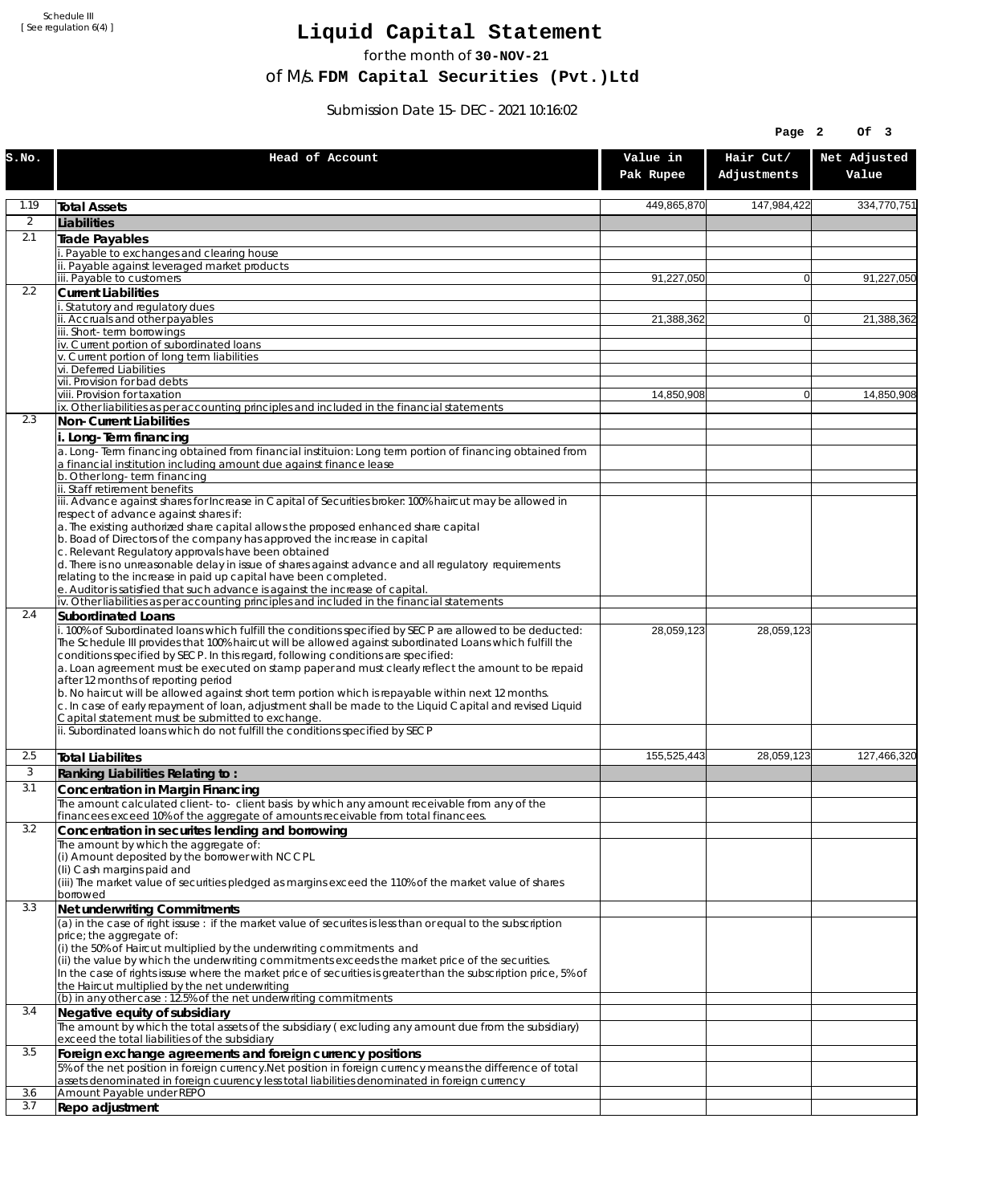Schedule III [ See regulation 6(4) ]

## **Liquid Capital Statement**

for the month of **30-NOV-21**

of M/s. **FDM Capital Securities (Pvt.)Ltd**

Submission Date 15-DEC-2021 10:16:02

|              |                                                                                                                                                                                                                                                                                                                                                                                                                                                                                                                                                                                                                                                                         |                       | Page 2                   | Of 3                  |
|--------------|-------------------------------------------------------------------------------------------------------------------------------------------------------------------------------------------------------------------------------------------------------------------------------------------------------------------------------------------------------------------------------------------------------------------------------------------------------------------------------------------------------------------------------------------------------------------------------------------------------------------------------------------------------------------------|-----------------------|--------------------------|-----------------------|
| S.NO.        | Head of Account                                                                                                                                                                                                                                                                                                                                                                                                                                                                                                                                                                                                                                                         | Value in<br>Pak Rupee | Hair Cut/<br>Adjustments | Net Adjusted<br>Value |
| 1.19         | <b>Total Assets</b>                                                                                                                                                                                                                                                                                                                                                                                                                                                                                                                                                                                                                                                     | 449,865,870           | 147,984,422              | 334,770,751           |
| 2            | Liabilities                                                                                                                                                                                                                                                                                                                                                                                                                                                                                                                                                                                                                                                             |                       |                          |                       |
| 2.1          | Trade Payables                                                                                                                                                                                                                                                                                                                                                                                                                                                                                                                                                                                                                                                          |                       |                          |                       |
|              | Payable to exchanges and clearing house<br>ii. Payable against leveraged market products                                                                                                                                                                                                                                                                                                                                                                                                                                                                                                                                                                                |                       |                          |                       |
|              | iii. Payable to customers                                                                                                                                                                                                                                                                                                                                                                                                                                                                                                                                                                                                                                               | 91,227,050            | $\overline{0}$           | 91,227,050            |
| 2.2          | <b>Current Liabilities</b>                                                                                                                                                                                                                                                                                                                                                                                                                                                                                                                                                                                                                                              |                       |                          |                       |
|              | . Statutory and regulatory dues<br>ii. Accruals and other payables                                                                                                                                                                                                                                                                                                                                                                                                                                                                                                                                                                                                      | 21,388,362            | $\overline{0}$           | 21,388,362            |
|              | iii. Short-term borrowings                                                                                                                                                                                                                                                                                                                                                                                                                                                                                                                                                                                                                                              |                       |                          |                       |
|              | iv. Current portion of subordinated loans<br>v. Current portion of long term liabilities                                                                                                                                                                                                                                                                                                                                                                                                                                                                                                                                                                                |                       |                          |                       |
|              | vi. Deferred Liabilities                                                                                                                                                                                                                                                                                                                                                                                                                                                                                                                                                                                                                                                |                       |                          |                       |
|              | vii. Provision for bad debts                                                                                                                                                                                                                                                                                                                                                                                                                                                                                                                                                                                                                                            |                       |                          |                       |
|              | viii. Provision for taxation<br>ix. Other liabilities as per accounting principles and included in the financial statements                                                                                                                                                                                                                                                                                                                                                                                                                                                                                                                                             | 14,850,908            | $\overline{0}$           | 14,850,908            |
| 2.3          | Non-Current Liabilities                                                                                                                                                                                                                                                                                                                                                                                                                                                                                                                                                                                                                                                 |                       |                          |                       |
|              | i. Long-Term financing                                                                                                                                                                                                                                                                                                                                                                                                                                                                                                                                                                                                                                                  |                       |                          |                       |
|              | a. Long-Term financing obtained from financial instituion: Long term portion of financing obtained from                                                                                                                                                                                                                                                                                                                                                                                                                                                                                                                                                                 |                       |                          |                       |
|              | a financial institution including amount due against finance lease<br>b. Other long-term financing                                                                                                                                                                                                                                                                                                                                                                                                                                                                                                                                                                      |                       |                          |                       |
|              | ii. Staff retirement benefits                                                                                                                                                                                                                                                                                                                                                                                                                                                                                                                                                                                                                                           |                       |                          |                       |
|              | iii. Advance against shares for Increase in Capital of Securities broker: 100% haircut may be allowed in<br>respect of advance against shares if:                                                                                                                                                                                                                                                                                                                                                                                                                                                                                                                       |                       |                          |                       |
|              | a. The existing authorized share capital allows the proposed enhanced share capital                                                                                                                                                                                                                                                                                                                                                                                                                                                                                                                                                                                     |                       |                          |                       |
|              | b. Boad of Directors of the company has approved the increase in capital<br>c. Relevant Regulatory approvals have been obtained                                                                                                                                                                                                                                                                                                                                                                                                                                                                                                                                         |                       |                          |                       |
|              | d. There is no unreasonable delay in issue of shares against advance and all regulatory requirements                                                                                                                                                                                                                                                                                                                                                                                                                                                                                                                                                                    |                       |                          |                       |
|              | relating to the increase in paid up capital have been completed.                                                                                                                                                                                                                                                                                                                                                                                                                                                                                                                                                                                                        |                       |                          |                       |
|              | e. Auditor is satisfied that such advance is against the increase of capital.<br>iv. Other liabilities as per accounting principles and included in the financial statements                                                                                                                                                                                                                                                                                                                                                                                                                                                                                            |                       |                          |                       |
| 2.4          | Subordinated Loans                                                                                                                                                                                                                                                                                                                                                                                                                                                                                                                                                                                                                                                      |                       |                          |                       |
|              | . 100% of Subordinated loans which fulfill the conditions specified by SECP are allowed to be deducted:<br>The Schedule III provides that 100% haircut will be allowed against subordinated Loans which fulfill the<br>conditions specified by SECP. In this regard, following conditions are specified:<br>a. Loan agreement must be executed on stamp paper and must clearly reflect the amount to be repaid<br>after 12 months of reporting period<br>b. No haircut will be allowed against short term portion which is repayable within next 12 months.<br>c. In case of early repayment of loan, adjustment shall be made to the Liquid Capital and revised Liquid | 28,059,123            | 28,059,123               |                       |
|              | Capital statement must be submitted to exchange.<br>ii. Subordinated loans which do not fulfill the conditions specified by SECP                                                                                                                                                                                                                                                                                                                                                                                                                                                                                                                                        |                       |                          |                       |
| 2.5          |                                                                                                                                                                                                                                                                                                                                                                                                                                                                                                                                                                                                                                                                         | 155.525.443           | 28,059,123               | 127,466,320           |
| $\mathbf{3}$ | <b>Total Liabilites</b><br>Ranking Liabilities Relating to:                                                                                                                                                                                                                                                                                                                                                                                                                                                                                                                                                                                                             |                       |                          |                       |
| 3.1          | Concentration in Margin Financing                                                                                                                                                                                                                                                                                                                                                                                                                                                                                                                                                                                                                                       |                       |                          |                       |
|              | The amount calculated client-to- client basis by which any amount receivable from any of the                                                                                                                                                                                                                                                                                                                                                                                                                                                                                                                                                                            |                       |                          |                       |
|              | financees exceed 10% of the aggregate of amounts receivable from total financees.                                                                                                                                                                                                                                                                                                                                                                                                                                                                                                                                                                                       |                       |                          |                       |
| 3.2          | Concentration in securites lending and borrowing<br>The amount by which the aggregate of:                                                                                                                                                                                                                                                                                                                                                                                                                                                                                                                                                                               |                       |                          |                       |
|              | (i) Amount deposited by the borrower with NCCPL                                                                                                                                                                                                                                                                                                                                                                                                                                                                                                                                                                                                                         |                       |                          |                       |
|              | (Ii) Cash margins paid and<br>(iii) The market value of securities pledged as margins exceed the 110% of the market value of shares                                                                                                                                                                                                                                                                                                                                                                                                                                                                                                                                     |                       |                          |                       |
|              | borrowed                                                                                                                                                                                                                                                                                                                                                                                                                                                                                                                                                                                                                                                                |                       |                          |                       |
| 3.3          | Net underwriting Commitments                                                                                                                                                                                                                                                                                                                                                                                                                                                                                                                                                                                                                                            |                       |                          |                       |
|              | (a) in the case of right issuse : if the market value of securites is less than or equal to the subscription<br>price; the aggregate of:                                                                                                                                                                                                                                                                                                                                                                                                                                                                                                                                |                       |                          |                       |
|              | (i) the 50% of Haircut multiplied by the underwriting commitments and<br>(ii) the value by which the underwriting commitments exceeds the market price of the securities.<br>In the case of rights issuse where the market price of securities is greater than the subscription price, 5% of<br>the Haircut multiplied by the net underwriting                                                                                                                                                                                                                                                                                                                          |                       |                          |                       |
|              | (b) in any other case : 12.5% of the net underwriting commitments                                                                                                                                                                                                                                                                                                                                                                                                                                                                                                                                                                                                       |                       |                          |                       |
| 3.4          | Negative equity of subsidiary                                                                                                                                                                                                                                                                                                                                                                                                                                                                                                                                                                                                                                           |                       |                          |                       |
|              | The amount by which the total assets of the subsidiary (excluding any amount due from the subsidiary)<br>exceed the total liabilities of the subsidiary                                                                                                                                                                                                                                                                                                                                                                                                                                                                                                                 |                       |                          |                       |
| 3.5          | Foreign exchange agreements and foreign currency positions<br>5% of the net position in foreign currency. Net position in foreign currency means the difference of total<br>assets denominated in foreign cuurency less total liabilities denominated in foreign currency                                                                                                                                                                                                                                                                                                                                                                                               |                       |                          |                       |
| 3.6          | Amount Payable under REPO                                                                                                                                                                                                                                                                                                                                                                                                                                                                                                                                                                                                                                               |                       |                          |                       |
| 3.7          | Repo adjustment                                                                                                                                                                                                                                                                                                                                                                                                                                                                                                                                                                                                                                                         |                       |                          |                       |